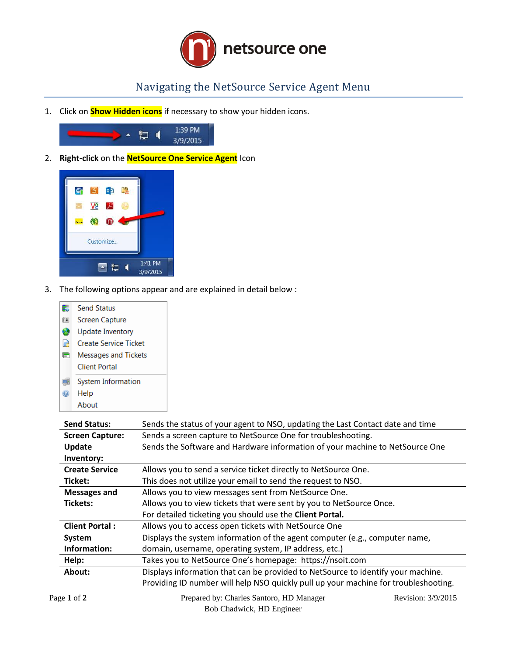

## Navigating the NetSource Service Agent Menu

1. Click on **Show Hidden icons** if necessary to show your hidden icons.



2. **Right-click** on the **NetSource One Service Agent** Icon



3. The following options appear and are explained in detail below :



| <b>Send Status:</b>    | Sends the status of your agent to NSO, updating the Last Contact date and time      |
|------------------------|-------------------------------------------------------------------------------------|
| <b>Screen Capture:</b> | Sends a screen capture to NetSource One for troubleshooting.                        |
| Update                 | Sends the Software and Hardware information of your machine to NetSource One        |
| Inventory:             |                                                                                     |
| <b>Create Service</b>  | Allows you to send a service ticket directly to NetSource One.                      |
| Ticket:                | This does not utilize your email to send the request to NSO.                        |
| <b>Messages and</b>    | Allows you to view messages sent from NetSource One.                                |
| Tickets:               | Allows you to view tickets that were sent by you to NetSource Once.                 |
|                        | For detailed ticketing you should use the Client Portal.                            |
| <b>Client Portal:</b>  | Allows you to access open tickets with NetSource One                                |
| System                 | Displays the system information of the agent computer (e.g., computer name,         |
| Information:           | domain, username, operating system, IP address, etc.)                               |
| Help:                  | Takes you to NetSource One's homepage: https://nsoit.com                            |
| About:                 | Displays information that can be provided to NetSource to identify your machine.    |
|                        | Providing ID number will help NSO quickly pull up your machine for troubleshooting. |